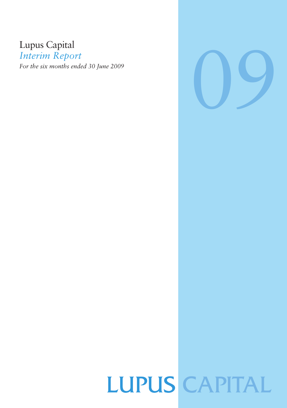# Lupus Capital

*Interim Report*

*For the six months ended 30 June 2009*



# **LUPUS CAPITAL**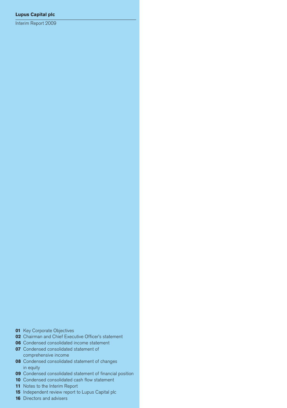Interim Report 2009

- Key Corporate Objectives
- Chairman and Chief Executive Officer's statement
- Condensed consolidated income statement
- Condensed consolidated statement of comprehensive income
- Condensed consolidated statement of changes in equity
- Condensed consolidated statement of financial position
- Condensed consolidated cash flow statement
- Notes to the Interim Report
- Independent review report to Lupus Capital plc
- Directors and advisers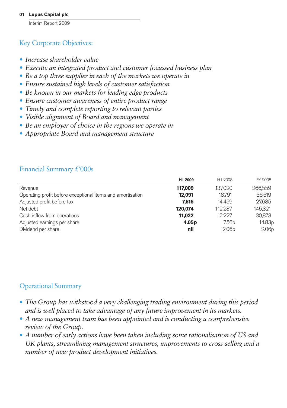## Key Corporate Objectives:

- *• Increase shareholder value*
- *• Execute an integrated product and customer focussed business plan*
- *• Be a top three supplier in each of the markets we operate in*
- *• Ensure sustained high levels of customer satisfaction*
- *• Be known in our markets for leading edge products*
- *• Ensure customer awareness of entire product range*
- *• Timely and complete reporting to relevant parties*
- *• Visible alignment of Board and management*
- *• Be an employer of choice in the regions we operate in*
- *• Appropriate Board and management structure*

## Financial Summary £'000s

|                                                            | H1 2009           | H1 2008           | FY 2008           |
|------------------------------------------------------------|-------------------|-------------------|-------------------|
| Revenue                                                    | 117,009           | 137,020           | 266,559           |
| Operating profit before exceptional items and amortisation | 12.091            | 18.791            | 36,619            |
| Adjusted profit before tax                                 | 7.515             | 14.459            | 27,685            |
| Net debt                                                   | 120.074           | 112.237           | 145.321           |
| Cash inflow from operations                                | 11.022            | 12.227            | 30,873            |
| Adjusted earnings per share                                | 4.05 <sub>p</sub> | 7.56 <sub>p</sub> | 14.83p            |
| Dividend per share                                         | nil               | 2.06 <sub>D</sub> | 2.06 <sub>p</sub> |

## Operational Summary

- *• The Group has withstood a very challenging trading environment during this period and is well placed to take advantage of any future improvement in its markets.*
- *• A new management team has been appointed and is conducting a comprehensive review of the Group.*
- *• A number of early actions have been taken including some rationalisation of US and UK plants, streamlining management structures, improvements to cross-selling and a number of new product development initiatives.*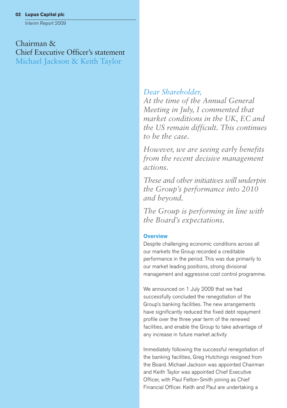Interim Report 2009

Chairman & Chief Executive Officer's statement Michael Jackson & Keith Taylor

## *Dear Shareholder,*

*At the time of the Annual General Meeting in July, I commented that market conditions in the UK, EC and the US remain difficult. This continues to be the case.*

*However, we are seeing early benefits from the recent decisive management actions.*

*These and other initiatives will underpin the Group's performance into 2010 and beyond.*

*The Group is performing in line with the Board's expectations.*

#### **Overview**

Despite challenging economic conditions across all our markets the Group recorded a creditable performance in the period. This was due primarily to our market leading positions, strong divisional management and aggressive cost control programme.

We announced on 1 July 2009 that we had successfully concluded the renegotiation of the Group's banking facilities. The new arrangements have significantly reduced the fixed debt repayment profile over the three year term of the renewed facilities, and enable the Group to take advantage of any increase in future market activity

Immediately following the successful renegotiation of the banking facilities, Greg Hutchings resigned from the Board. Michael Jackson was appointed Chairman and Keith Taylor was appointed Chief Executive Officer, with Paul Felton-Smith joining as Chief Financial Officer. Keith and Paul are undertaking a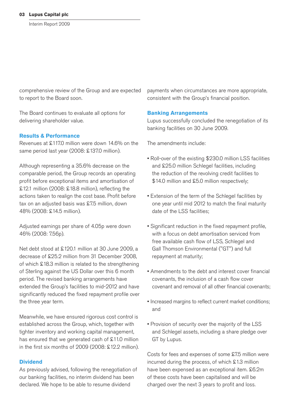comprehensive review of the Group and are expected to report to the Board soon.

The Board continues to evaluate all options for delivering shareholder value.

#### **Results & Performance**

Revenues at £117.0 million were down 14.6% on the same period last year (2008: £137.0 million).

Although representing a 35.6% decrease on the comparable period, the Group records an operating profit before exceptional items and amortisation of £12.1 million (2008: £18.8 million), reflecting the actions taken to realign the cost base. Profit before tax on an adjusted basis was £7.5 million, down 48% (2008: £14.5 million).

Adjusted earnings per share of 4.05p were down 46% (2008: 7.56p).

Net debt stood at £120.1 million at 30 June 2009, a decrease of £25.2 million from 31 December 2008, of which £18.3 million is related to the strengthening of Sterling against the US Dollar over this 6 month period. The revised banking arrangements have extended the Group's facilities to mid-2012 and have significantly reduced the fixed repayment profile over the three year term.

Meanwhile, we have ensured rigorous cost control is established across the Group, which, together with tighter inventory and working capital management, has ensured that we generated cash of £11.0 million in the first six months of 2009 (2008: £12.2 million).

#### **Dividend**

As previously advised, following the renegotiation of our banking facilities, no interim dividend has been declared. We hope to be able to resume dividend

payments when circumstances are more appropriate, consistent with the Group's financial position.

#### **Banking Arrangements**

Lupus successfully concluded the renegotiation of its banking facilities on 30 June 2009.

The amendments include:

- Roll-over of the existing \$230.0 million LSS facilities and £25.0 million Schlegel facilities, including the reduction of the revolving credit facilities to \$14.0 million and £5.0 million respectively;
- Extension of the term of the Schlegel facilities by one year until mid 2012 to match the final maturity date of the LSS facilities;
- Significant reduction in the fixed repayment profile, with a focus on debt amortisation serviced from free available cash flow of LSS, Schlegel and Gall Thomson Environmental ("GT") and full repayment at maturity;
- Amendments to the debt and interest cover financial covenants, the inclusion of a cash flow cover covenant and removal of all other financial covenants;
- Increased margins to reflect current market conditions; and
- Provision of security over the majority of the LSS and Schlegel assets, including a share pledge over GT by Lupus.

Costs for fees and expenses of some £7.5 million were incurred during the process, of which £1.3 million have been expensed as an exceptional item. £6.2m of these costs have been capitalised and will be charged over the next 3 years to profit and loss.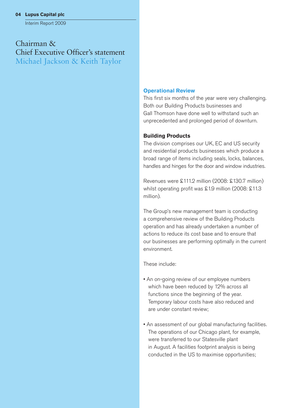Interim Report 2009

Chairman & Chief Executive Officer's statement Michael Jackson & Keith Taylor

#### **Operational Review**

This first six months of the year were very challenging. Both our Building Products businesses and Gall Thomson have done well to withstand such an unprecedented and prolonged period of downturn.

#### **Building Products**

The division comprises our UK, EC and US security and residential products businesses which produce a broad range of items including seals, locks, balances, handles and hinges for the door and window industries.

Revenues were £111.2 million (2008: £130.7 million) whilst operating profit was £1.9 million (2008: £11.3) million).

The Group's new management team is conducting a comprehensive review of the Building Products operation and has already undertaken a number of actions to reduce its cost base and to ensure that our businesses are performing optimally in the current environment.

These include:

- An on-going review of our employee numbers which have been reduced by 12% across all functions since the beginning of the year. Temporary labour costs have also reduced and are under constant review;
- An assessment of our global manufacturing facilities. The operations of our Chicago plant, for example, were transferred to our Statesville plant in August. A facilities footprint analysis is being conducted in the US to maximise opportunities;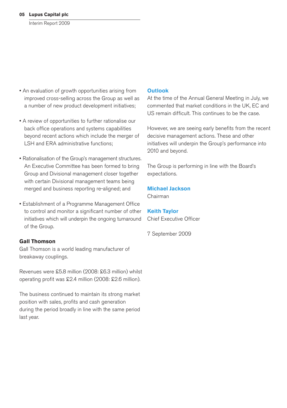- An evaluation of growth opportunities arising from improved cross-selling across the Group as well as a number of new product development initiatives;
- A review of opportunities to further rationalise our back office operations and systems capabilities beyond recent actions which include the merger of LSH and ERA administrative functions;
- Rationalisation of the Group's management structures. An Executive Committee has been formed to bring Group and Divisional management closer together with certain Divisional management teams being merged and business reporting re-aligned; and
- Establishment of a Programme Management Office to control and monitor a significant number of other initiatives which will underpin the ongoing turnaround of the Group.

#### **Gall Thomson**

Gall Thomson is a world leading manufacturer of breakaway couplings.

Revenues were £5.8 million (2008: £6.3 million) whilst operating profit was £2.4 million (2008: £2.6 million).

The business continued to maintain its strong market position with sales, profits and cash generation during the period broadly in line with the same period last year.

#### **Outlook**

At the time of the Annual General Meeting in July, we commented that market conditions in the UK, EC and US remain difficult. This continues to be the case.

However, we are seeing early benefits from the recent decisive management actions. These and other initiatives will underpin the Group's performance into 2010 and beyond.

The Group is performing in line with the Board's expectations.

#### **Michael Jackson**

Chairman

#### **Keith Taylor**

Chief Executive Officer

7 September 2009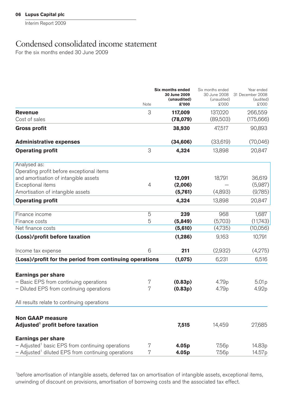# Condensed consolidated income statement

For the six months ended 30 June 2009

|                                                                  | Note | Six months ended<br>30 June 2009<br>(unaudited)<br>£'000 | Six months ended<br>30 June 2008<br>(unaudited)<br><b>COO3</b> | Year ended<br>31 December 2008<br>(audited)<br>£'000 |
|------------------------------------------------------------------|------|----------------------------------------------------------|----------------------------------------------------------------|------------------------------------------------------|
| <b>Revenue</b><br>Cost of sales                                  | 3    | 117,009<br>(78, 079)                                     | 137,020<br>(89,503)                                            | 266,559<br>(175, 666)                                |
| <b>Gross profit</b>                                              |      | 38,930                                                   | 47,517                                                         | 90,893                                               |
| <b>Administrative expenses</b>                                   |      | (34, 606)                                                | (33,619)                                                       | (70,046)                                             |
| <b>Operating profit</b>                                          | 3    | 4,324                                                    | 13,898                                                         | 20,847                                               |
| Analysed as:<br>Operating profit before exceptional items        |      |                                                          |                                                                |                                                      |
| and amortisation of intangible assets                            |      | 12,091                                                   | 18,791                                                         | 36,619                                               |
| Exceptional items                                                | 4    | (2,006)                                                  |                                                                | (5,987)                                              |
| Amortisation of intangible assets<br><b>Operating profit</b>     |      | (5,761)<br>4,324                                         | (4,893)<br>13,898                                              | (9,785)<br>20,847                                    |
|                                                                  |      |                                                          |                                                                |                                                      |
| Finance income                                                   | 5    | 239                                                      | 968                                                            | 1,687                                                |
| Finance costs                                                    | 5    | (5,849)                                                  | (5,703)                                                        | (11,743)                                             |
| Net finance costs                                                |      | (5,610)                                                  | (4,735)                                                        | (10,056)                                             |
| (Loss)/profit before taxation                                    |      | (1, 286)                                                 | 9,163                                                          | 10,791                                               |
| Income tax expense                                               | 6    | 211                                                      | (2,932)                                                        | (4,275)                                              |
| (Loss)/profit for the period from continuing operations          |      | (1,075)                                                  | 6,231                                                          | 6,516                                                |
| <b>Earnings per share</b>                                        |      |                                                          |                                                                |                                                      |
| - Basic EPS from continuing operations                           | 7    | (0.83p)                                                  | 4.79p                                                          | 5.01 <sub>p</sub>                                    |
| - Diluted EPS from continuing operations                         | 7    | (0.83p)                                                  | 4.79p                                                          | 4.92p                                                |
| All results relate to continuing operations                      |      |                                                          |                                                                |                                                      |
| <b>Non GAAP measure</b>                                          |      |                                                          |                                                                |                                                      |
| Adjusted <sup>1</sup> profit before taxation                     |      | 7,515                                                    | 14,459                                                         | 27,685                                               |
| <b>Earnings per share</b>                                        |      |                                                          |                                                                |                                                      |
| $-$ Adjusted <sup>1</sup> basic EPS from continuing operations   | 7    | 4.05p                                                    | 7.56p                                                          | 14.83p                                               |
| $-$ Adjusted <sup>1</sup> diluted EPS from continuing operations | 7    | 4.05p                                                    | 7.56p                                                          | 14.57p                                               |

1 before amortisation of intangible assets, deferred tax on amortisation of intangible assets, exceptional items, unwinding of discount on provisions, amortisation of borrowing costs and the associated tax effect.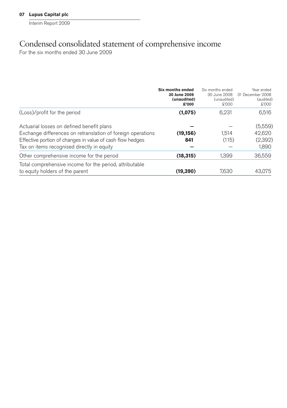# Condensed consolidated statement of comprehensive income

For the six months ended 30 June 2009

|                                                                                                                                                                                                                     | Six months ended<br>30 June 2009<br>(unaudited)<br>£'000 | Six months ended<br>30 June 2008<br>(unaudited)<br>£'000 | Year ended<br>31 December 2008<br>(audited)<br>\$'000 |
|---------------------------------------------------------------------------------------------------------------------------------------------------------------------------------------------------------------------|----------------------------------------------------------|----------------------------------------------------------|-------------------------------------------------------|
| (Loss)/profit for the period                                                                                                                                                                                        | (1,075)                                                  | 6,231                                                    | 6,516                                                 |
| Actuarial losses on defined benefit plans<br>Exchange differences on retranslation of foreign operations<br>Effective portion of changes in value of cash flow hedges<br>Tax on items recognised directly in equity | (19, 156)<br>841                                         | 1.514<br>(115)                                           | (5,559)<br>42,620<br>(2,392)<br>1,890                 |
| Other comprehensive income for the period                                                                                                                                                                           | (18, 315)                                                | 1.399                                                    | 36,559                                                |
| Total comprehensive income for the period, attributable<br>to equity holders of the parent                                                                                                                          | (19, 390)                                                | 7,630                                                    | 43,075                                                |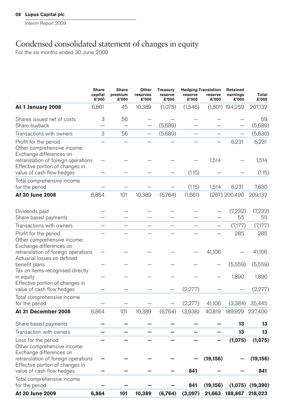# Condensed consolidated statement of changes in equity

For the six months ended 30 June 2009

|                                                                                                     | <b>Share</b><br>capital<br>£'000 | <b>Share</b><br>premium<br>£'000 | Other<br>reserves<br>£'000 | <b>Treasury</b><br>reserve<br>£'000 | <b>Hedging Translation</b><br>reserve<br>£'000 | reserve<br>£'000         | Retained<br>earnings<br>£'000 | Total<br>£'000       |
|-----------------------------------------------------------------------------------------------------|----------------------------------|----------------------------------|----------------------------|-------------------------------------|------------------------------------------------|--------------------------|-------------------------------|----------------------|
| At 1 January 2008                                                                                   | 6,861                            | 45                               | 10,389                     | (1,075)                             | (1,546)                                        |                          | $(1,801)$ 194,259             | 207,132              |
| Shares issued net of costs                                                                          | 3                                | 56                               |                            |                                     |                                                |                          |                               | 59                   |
| Share buyback                                                                                       | —                                |                                  |                            | (5,689)                             |                                                |                          |                               | (5,689)              |
| Transactions with owners                                                                            | 3                                | 56                               | —                          | (5,689)                             | $\overline{\phantom{0}}$                       | $\overline{\phantom{0}}$ | -                             | (5,630)              |
| Profit for the period<br>Other comprehensive income:<br>Exchange differences on                     |                                  |                                  |                            |                                     |                                                |                          | 6,231                         | 6,231                |
| retranslation of foreign operations<br>Effective portion of changes in<br>value of cash flow hedges |                                  |                                  |                            |                                     | (115)                                          | 1,514                    |                               | 1,514<br>(115)       |
|                                                                                                     |                                  |                                  |                            |                                     |                                                |                          |                               |                      |
| Total comprehensive income<br>for the period                                                        |                                  |                                  |                            |                                     | (115)                                          | 1,514                    | 6,231                         | 7,630                |
| At 30 June 2008                                                                                     | 6,864                            | 101                              | 10,389                     | (6,764)                             | (1,661)                                        |                          | (287) 200,490                 | 209,132              |
| Dividends paid                                                                                      |                                  |                                  |                            |                                     |                                                |                          | (7,232)                       | (7,232)              |
| Share based payments                                                                                |                                  |                                  |                            |                                     |                                                |                          | 55                            | 55                   |
| Transactions with owners                                                                            | $\overline{\phantom{0}}$         |                                  |                            |                                     |                                                |                          | (7,177)                       | (7,177)              |
| Profit for the period<br>Other comprehensive income:<br>Exchange differences on                     |                                  |                                  |                            |                                     |                                                |                          | 285                           | 285                  |
| retranslation of foreign operations<br>Actuarial losses on defined                                  |                                  |                                  |                            |                                     |                                                | 41,106                   |                               | 41,106               |
| benefit plans                                                                                       |                                  |                                  |                            |                                     |                                                |                          | (5,559)                       | (5,559)              |
| Tax on items recognised directly<br>in equity                                                       |                                  |                                  |                            |                                     |                                                |                          | 1,890                         | 1,890                |
| Effective portion of changes in<br>value of cash flow hedges                                        |                                  |                                  |                            |                                     | (2,277)                                        |                          |                               | (2,277)              |
| Total comprehensive income<br>for the period                                                        |                                  |                                  |                            |                                     | (2, 277)                                       | 41,106                   | (3,384)                       | 35,445               |
| At 31 December 2008                                                                                 | 6,864                            | 101                              | 10,389                     | (6,764)                             | (3,938)                                        | 40,819                   | 189,929                       | 237,400              |
| Share based payments                                                                                |                                  |                                  |                            |                                     |                                                |                          | 13                            | 13                   |
| Transaction with owners                                                                             |                                  |                                  |                            |                                     |                                                |                          | 13                            | 13                   |
| Loss for the period<br>Other comprehensive income:<br>Exchange differences on                       |                                  |                                  |                            |                                     |                                                |                          | (1,075)                       | (1,075)              |
| retranslation of foreign operations<br>Effective portion of changes in                              |                                  |                                  |                            |                                     |                                                | (19, 156)                |                               | (19, 156)            |
| value of cash flow hedges                                                                           |                                  |                                  |                            |                                     | 841                                            |                          |                               | 841                  |
| Total comprehensive income<br>for the period                                                        |                                  |                                  |                            |                                     | 841                                            | (19, 156)                |                               | $(1,075)$ $(19,390)$ |
| <b>At 30 June 2009</b>                                                                              | 6.864                            | 101                              | 10,389                     | (6,764)                             | (3,097)                                        |                          | 21,663 188,867                | 218,023              |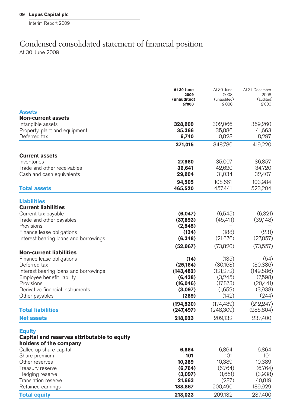## Condensed consolidated statement of financial position At 30 June 2009

**At 30 June** At 30 June At 31 December<br>2009 2008 2008 **2009** 2008 2008 **(unaudited)** (unaudited) (audited)<br>**6'000** (audited)<br> $\mathbf{F}^{\prime}$ **£'000** £'000 £'000 **Assets Non-current assets** Intangible assets **328,909** 302,066 369,260 Property, plant and equipment **35,366** 35,886 41,663 Deferred tax **6,740** 10,828 8,297 **371.015** 348.780 419.220 **Current assets** Inventories **27,960** 35,007 36,857 Trade and other receivables **36,641** 42,620 34,720<br>
Cash and cash equivalents **36,641** 31,034 32,407 Cash and cash equivalents **94,505** 108,661 103,984<br>**465.520** 457.441 523.204 **Total assets 465,520** 457,441 523,204 **Liabilities Current liabilities** Current tax payable **(6,047)** (6,645) (6,321)<br>
Trade and other payables **(6,047)** (6,545) (37,893) (45.411) (39.148) Trade and other payables **(37,893)** (37,893) Provisions **(2,545)** – – Finance lease obligations **(134)** (188) (231)<br>
Interest bearing loans and borrowings **(6.348)** (21.676) (27.857) Interest bearing loans and borrowings **(52,967)** (73,820) (73,557) **Non-current liabilities** Finance lease obligations **(14)** (135) (54)<br>Deferred tax **(25.164)** (30.163) (30.386) Deferred tax **(25,164)** (30,163) (30,386) Interest bearing loans and borrowings **(143,482)** (121,272) (149,586) Employee benefit liability **(6,438) (6,438)** Provisions **(16,046)** (17,873) (20,441) Derivative fi nancial instruments **(3,097)** (1,659) (3,938) Other payables **(289)** (142) (244) **(194,530)** (174,489) (212,247) **Total liabilities (247,497)** (248,309) (285,804) **Net assets 218,023** 209,132 237,400 **Equity Capital and reserves attributable to equity holders of the company**

| Retained earnings<br><b>Total equity</b> | 188.867<br>218,023 | 200,490<br>209,132 | 189,929<br>237,400 |
|------------------------------------------|--------------------|--------------------|--------------------|
| Translation reserve                      | 21.663             | (287)              | 40.819             |
| Hedging reserve                          | (3,097)            | (1.661)            | (3,938)            |
| Treasury reserve                         | (6.764)            | (6.764)            | (6,764)            |
| Other reserves                           | 10.389             | 10.389             | 10.389             |
| Share premium                            | 101                | 101                | 101                |
| Called up share capital                  | 6.864              | 6.864              | 6.864              |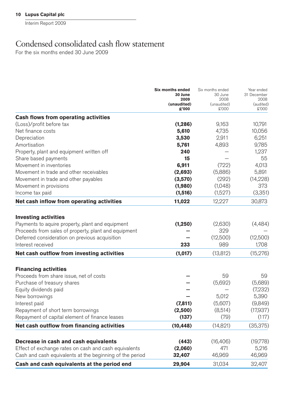Interim Report 2009

# Condensed consolidated cash flow statement

For the six months ended 30 June 2009

|                                                                                                                   | <b>Six months ended</b><br>30 June<br>2009<br>(unaudited)<br>ዴ'000 | Six months ended<br>30 June<br>2008 | Year ended<br>31 December<br>2008 |
|-------------------------------------------------------------------------------------------------------------------|--------------------------------------------------------------------|-------------------------------------|-----------------------------------|
|                                                                                                                   |                                                                    | (unaudited)<br>£'000                | (audited)<br>£'000                |
| Cash flows from operating activities                                                                              |                                                                    |                                     |                                   |
| (Loss)/profit before tax                                                                                          | (1, 286)                                                           | 9,163                               | 10,791                            |
| Net finance costs                                                                                                 | 5,610                                                              | 4,735                               | 10,056                            |
| Depreciation                                                                                                      | 3,530                                                              | 2,911                               | 6,251                             |
| Amortisation                                                                                                      | 5,761                                                              | 4,893                               | 9,785                             |
| Property, plant and equipment written off                                                                         | 240                                                                |                                     | 1,237                             |
| Share based payments                                                                                              | 15                                                                 |                                     | 55                                |
| Movement in inventories                                                                                           | 6,911                                                              | (722)                               | 4,013                             |
| Movement in trade and other receivables                                                                           | (2,693)                                                            | (5,886)                             | 5,891                             |
| Movement in trade and other payables                                                                              | (3,570)                                                            | (292)                               | (14, 228)                         |
| Movement in provisions                                                                                            | (1,980)                                                            | (1,048)                             | 373                               |
| Income tax paid                                                                                                   | (1,516)                                                            | (1,527)                             | (3,351)                           |
| Net cash inflow from operating activities                                                                         | 11,022                                                             | 12,227                              | 30,873                            |
| <b>Investing activities</b>                                                                                       |                                                                    |                                     |                                   |
| Payments to aquire property, plant and equipment                                                                  | (1, 250)                                                           | (2,630)                             | (4, 484)                          |
| Proceeds from sales of property, plant and equipment                                                              |                                                                    | 329                                 |                                   |
| Deferred consideration on previous acquisition                                                                    |                                                                    | (12,500)                            | (12,500)                          |
| Interest received                                                                                                 | 233                                                                | 989                                 | 1,708                             |
| Net cash outflow from investing activities                                                                        | (1,017)                                                            | (13, 812)                           | (15, 276)                         |
|                                                                                                                   |                                                                    |                                     |                                   |
| <b>Financing activities</b>                                                                                       |                                                                    |                                     |                                   |
| Proceeds from share issue, net of costs                                                                           |                                                                    | 59                                  | 59                                |
| Purchase of treasury shares                                                                                       |                                                                    | (5,692)                             | (5,689)                           |
| Equity dividends paid                                                                                             |                                                                    |                                     | (7,232)                           |
| New borrowings                                                                                                    |                                                                    | 5,012                               | 5,390                             |
| Interest paid                                                                                                     | (7, 811)                                                           | (5,607)                             | (9,849)                           |
| Repayment of short term borrowings                                                                                | (2,500)                                                            | (8,514)                             | (17,937)                          |
| Repayment of capital element of finance leases                                                                    | (137)                                                              | (79)                                | (117)                             |
| Net cash outflow from financing activities                                                                        | (10, 448)                                                          | (14, 821)                           | (35, 375)                         |
| Decrease in cash and cash equivalents                                                                             | (443)                                                              | (16, 406)                           | (19,778)                          |
|                                                                                                                   | (2,060)                                                            | 471                                 | 5,216                             |
| Effect of exchange rates on cash and cash equivalents<br>Cash and cash equivalents at the beginning of the period | 32,407                                                             | 46,969                              | 46,969                            |
| Cash and cash equivalents at the period end                                                                       | 29,904                                                             | 31,034                              | 32.407                            |
|                                                                                                                   |                                                                    |                                     |                                   |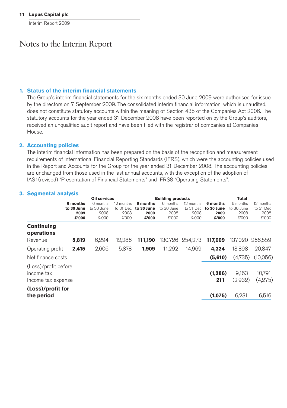Interim Report 2009

## Notes to the Interim Report

#### **1. Status of the interim fi nancial statements**

The Group's interim financial statements for the six months ended 30 June 2009 were authorised for issue by the directors on 7 September 2009. The consolidated interim financial information, which is unaudited, does not constitute statutory accounts within the meaning of Section 435 of the Companies Act 2006. The statutory accounts for the year ended 31 December 2008 have been reported on by the Group's auditors, received an unqualified audit report and have been filed with the registrar of companies at Companies House.

#### **2. Accounting policies**

The interim financial information has been prepared on the basis of the recognition and measurement requirements of International Financial Reporting Standards (IFRS), which were the accounting policies used in the Report and Accounts for the Group for the year ended 31 December 2008. The accounting policies are unchanged from those used in the last annual accounts, with the exception of the adoption of IAS1(revised) "Presentation of Financial Statements" and IFRS8 "Operating Statements".

#### **3. Segmental analysis**

|                                                          |                                         | Oil services                            |                                         |                                         | <b>Building products</b>                |                                         |                                         | Total                                   |                                         |
|----------------------------------------------------------|-----------------------------------------|-----------------------------------------|-----------------------------------------|-----------------------------------------|-----------------------------------------|-----------------------------------------|-----------------------------------------|-----------------------------------------|-----------------------------------------|
|                                                          | 6 months<br>to 30 June<br>2009<br>£'000 | 6 months<br>to 30 June<br>2008<br>£'000 | 12 months<br>to 31 Dec<br>2008<br>£'000 | 6 months<br>to 30 June<br>2009<br>£'000 | 6 months<br>to 30 June<br>2008<br>£'000 | 12 months<br>to 31 Dec<br>2008<br>£'000 | 6 months<br>to 30 June<br>2009<br>£'000 | 6 months<br>to 30 June<br>2008<br>£'000 | 12 months<br>to 31 Dec<br>2008<br>£'000 |
| Continuing<br>operations<br>Revenue                      | 5.819                                   | 6.294                                   | 12.286                                  | 111.190                                 | 130.726                                 | 254.273                                 | 117.009                                 | 137.020                                 | 266,559                                 |
| Operating profit                                         | 2,415                                   | 2,606                                   | 5,878                                   | 1,909                                   | 11.292                                  | 14.969                                  | 4.324                                   | 13.898                                  | 20.847                                  |
| Net finance costs                                        |                                         |                                         |                                         |                                         |                                         |                                         | (5,610)                                 | (4,735)                                 | (10,056)                                |
| (Loss)/profit before<br>income tax<br>Income tax expense |                                         |                                         |                                         |                                         |                                         |                                         | (1, 286)<br>211                         | 9,163<br>(2,932)                        | 10,791<br>(4,275)                       |
| (Loss)/profit for<br>the period                          |                                         |                                         |                                         |                                         |                                         |                                         | (1,075)                                 | 6,231                                   | 6,516                                   |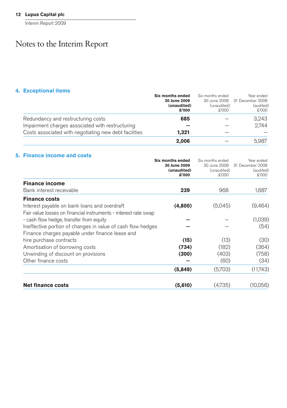Interim Report 2009

# Notes to the Interim Report

## **4. Exceptional items**

|                                                       | Six months ended | Six months ended | Year ended                    |
|-------------------------------------------------------|------------------|------------------|-------------------------------|
|                                                       | 30 June 2009     |                  | 30 June 2008 31 December 2008 |
|                                                       | (unaudited)      | (unaudited)      | (audited)                     |
|                                                       | £'000            | £'000            | £'000                         |
| Redundancy and restructuring costs                    | 685              |                  | 3.243                         |
| Impairment charges associated with restructuring      |                  |                  | 2.744                         |
| Costs associated with negotiating new debt facilities | 1.321            |                  |                               |
|                                                       | 2.006            |                  | 5.987                         |

## **5. Finance income and costs**

|                                                                 | Six months ended<br>30 June 2009<br>(unaudited)<br>£'000 | Six months ended<br>30 June 2008<br>(unaudited)<br>£'000 | Year ended<br>31 December 2008<br>(audited)<br>£'000 |
|-----------------------------------------------------------------|----------------------------------------------------------|----------------------------------------------------------|------------------------------------------------------|
| <b>Finance income</b>                                           |                                                          |                                                          |                                                      |
| Bank interest receivable                                        | 239                                                      | 968                                                      | 1,687                                                |
| <b>Finance costs</b>                                            |                                                          |                                                          |                                                      |
| Interest payable on bank loans and overdraft                    | (4,800)                                                  | (5,045)                                                  | (9,464)                                              |
| Fair value losses on financial instruments - interest rate swap |                                                          |                                                          |                                                      |
| - cash flow hedge, transfer from equity                         |                                                          |                                                          | (1,039)                                              |
| Ineffective portion of changes in value of cash flow hedges     |                                                          |                                                          | (54)                                                 |
| Finance charges payable under finance lease and                 |                                                          |                                                          |                                                      |
| hire purchase contracts                                         | (15)                                                     | (13)                                                     | (30)                                                 |
| Amortisation of borrowing costs                                 | (734)                                                    | (182)                                                    | (364)                                                |
| Unwinding of discount on provisions                             | (300)                                                    | (403)                                                    | (758)                                                |
| Other finance costs                                             |                                                          | (60)                                                     | (34)                                                 |
|                                                                 | (5,849)                                                  | (5,703)                                                  | (11,743)                                             |
| <b>Net finance costs</b>                                        | (5,610)                                                  | (4.735)                                                  | (10,056)                                             |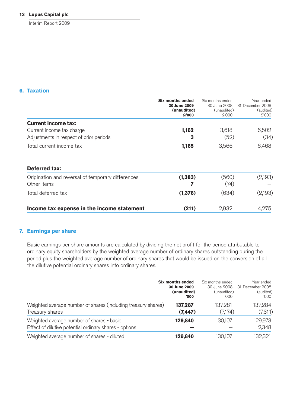Interim Report 2009

#### **6. Taxation**

|                                                   | Six months ended | Six months ended | Year ended       |  |
|---------------------------------------------------|------------------|------------------|------------------|--|
|                                                   | 30 June 2009     | 30 June 2008     | 31 December 2008 |  |
|                                                   | (unaudited)      | (unaudited)      | (audited)        |  |
|                                                   | £'000            | £'000            | £'000            |  |
| <b>Current income tax:</b>                        |                  |                  |                  |  |
| Current income tax charge                         | 1,162            | 3,618            | 6,502            |  |
| Adjustments in respect of prior periods           | 3                | (52)             | (34)             |  |
| Total current income tax                          | 1,165            | 3,566            | 6,468            |  |
|                                                   |                  |                  |                  |  |
| <b>Deferred tax:</b>                              |                  |                  |                  |  |
| Origination and reversal of temporary differences | (1, 383)         | (560)            | (2.193)          |  |

| Income tax expense in the income statement                       | (211)   | 2.932         | 4.275   |
|------------------------------------------------------------------|---------|---------------|---------|
| Total deferred tax                                               | (1.376) | (634)         | (2,193) |
| Urigination and reversal of temporary differences<br>Other items | (1.383) | (UOC)<br>(74) | (2,193) |

## **7. Earnings per share**

Basic earnings per share amounts are calculated by dividing the net profit for the period attributable to ordinary equity shareholders by the weighted average number of ordinary shares outstanding during the period plus the weighted average number of ordinary shares that would be issued on the conversion of all the dilutive potential ordinary shares into ordinary shares.

|                                                                                                     | Six months ended | Six months ended | Year ended       |
|-----------------------------------------------------------------------------------------------------|------------------|------------------|------------------|
|                                                                                                     | 30 June 2009     | 30 June 2008     | 31 December 2008 |
|                                                                                                     | (unaudited)      | (unaudited)      | (audited)        |
|                                                                                                     | '000             | '000             | '000             |
| Weighted average number of shares (including treasury shares)                                       | 137,287          | 137,281          | 137,284          |
| Treasury shares                                                                                     | (7, 447)         | (7,174)          | (7,311)          |
| Weighted average number of shares - basic<br>Effect of dilutive potential ordinary shares - options | 129,840          | 130,107          | 129,973<br>2,348 |
| Weighted average number of shares - diluted                                                         | 129,840          | 130,107          | 132,321          |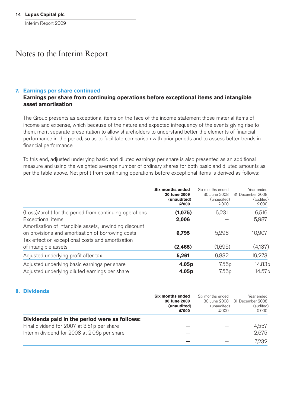## Notes to the Interim Report

#### **7. Earnings per share continued**

#### **Earnings per share from continuing operations before exceptional items and intangible asset amortisation**

The Group presents as exceptional items on the face of the income statement those material items of income and expense, which because of the nature and expected infrequency of the events giving rise to them, merit separate presentation to allow shareholders to understand better the elements of financial performance in the period, so as to facilitate comparison with prior periods and to assess better trends in financial performance.

To this end, adjusted underlying basic and diluted earnings per share is also presented as an additional measure and using the weighted average number of ordinary shares for both basic and diluted amounts as per the table above. Net profit from continuing operations before exceptional items is derived as follows:

|                                                                                                                                                                | Six months ended<br>30 June 2009<br>(unaudited)<br>ዴ'000 | Six months ended<br>30 June 2008<br>(unaudited)<br>\$'000 | Year ended<br>31 December 2008<br>(audited)<br>£'000 |
|----------------------------------------------------------------------------------------------------------------------------------------------------------------|----------------------------------------------------------|-----------------------------------------------------------|------------------------------------------------------|
| (Loss)/profit for the period from continuing operations                                                                                                        | (1,075)                                                  | 6.231                                                     | 6,516                                                |
| Exceptional items                                                                                                                                              | 2,006                                                    |                                                           | 5,987                                                |
| Amortisation of intangible assets, unwinding discount<br>on provisions and amortisation of borrowing costs<br>Tax effect on exceptional costs and amortisation | 6,795                                                    | 5,296                                                     | 10,907                                               |
| of intangible assets                                                                                                                                           | (2, 465)                                                 | (1,695)                                                   | (4,137)                                              |
| Adjusted underlying profit after tax                                                                                                                           | 5,261                                                    | 9,832                                                     | 19,273                                               |
| Adjusted underlying basic earnings per share<br>Adjusted underlying diluted earnings per share                                                                 | 4.05p<br>4.05p                                           | 7.56 <sub>p</sub><br>7.56 <sub>p</sub>                    | 14.83p<br>14.57 p                                    |

#### **8. Dividends**

|                                               | Six months ended | Six months ended | Year ended       |
|-----------------------------------------------|------------------|------------------|------------------|
|                                               | 30 June 2009     | 30 June 2008     | 31 December 2008 |
|                                               | (unaudited)      | (unaudited)      | (audited)        |
|                                               | £'000            | £'000            | \$'000           |
| Dividends paid in the period were as follows: |                  |                  |                  |
| Final dividend for 2007 at 3.51 p per share   |                  |                  | 4.557            |
| Interim dividend for 2008 at 2.06p per share  |                  |                  | 2.675            |
|                                               |                  |                  | 7.232            |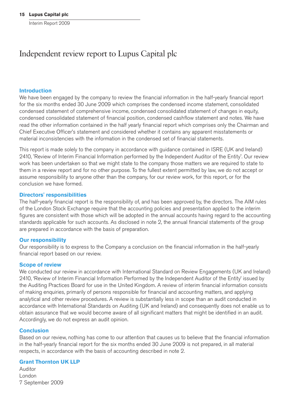# Independent review report to Lupus Capital plc

#### **Introduction**

We have been engaged by the company to review the financial information in the half-yearly financial report for the six months ended 30 June 2009 which comprises the condensed income statement, consolidated condensed statement of comprehensive income, condensed consolidated statement of changes in equity, condensed consolidated statement of financial position, condensed cashflow statement and notes. We have read the other information contained in the half yearly financial report which comprises only the Chairman and Chief Executive Officer's statement and considered whether it contains any apparent misstatements or material inconsistencies with the information in the condensed set of financial statements.

This report is made solely to the company in accordance with guidance contained in ISRE (UK and Ireland) 2410, 'Review of Interim Financial Information performed by the Independent Auditor of the Entity'. Our review work has been undertaken so that we might state to the company those matters we are required to state to them in a review report and for no other purpose. To the fullest extent permitted by law, we do not accept or assume responsibility to anyone other than the company, for our review work, for this report, or for the conclusion we have formed.

#### **Directors' responsibilities**

The half-yearly financial report is the responsibility of, and has been approved by, the directors. The AIM rules of the London Stock Exchange require that the accounting policies and presentation applied to the interim figures are consistent with those which will be adopted in the annual accounts having regard to the accounting standards applicable for such accounts. As disclosed in note 2, the annual financial statements of the group are prepared in accordance with the basis of preparation.

#### **Our responsibility**

Our responsibility is to express to the Company a conclusion on the financial information in the half-yearly financial report based on our review.

#### **Scope of review**

We conducted our review in accordance with International Standard on Review Engagements (UK and Ireland) 2410, 'Review of Interim Financial Information Performed by the Independent Auditor of the Entity' issued by the Auditing Practices Board for use in the United Kingdom. A review of interim financial information consists of making enquiries, primarily of persons responsible for financial and accounting matters, and applying analytical and other review procedures. A review is substantially less in scope than an audit conducted in accordance with International Standards on Auditing (UK and Ireland) and consequently does not enable us to obtain assurance that we would become aware of all significant matters that might be identified in an audit. Accordingly, we do not express an audit opinion.

#### **Conclusion**

Based on our review, nothing has come to our attention that causes us to believe that the financial information in the half-yearly financial report for the six months ended 30 June 2009 is not prepared, in all material respects, in accordance with the basis of accounting described in note 2.

#### **Grant Thornton UK LLP**

Auditor London 7 September 2009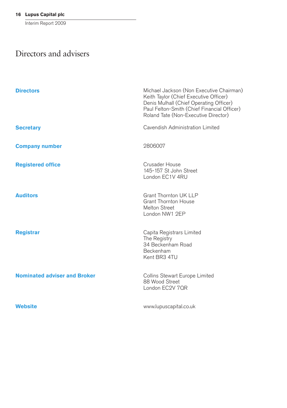Interim Report 2009

# Directors and advisers

| <b>Directors</b>                    | Michael Jackson (Non Executive Chairman)<br>Keith Taylor (Chief Executive Officer)<br>Denis Mulhall (Chief Operating Officer)<br>Paul Felton-Smith (Chief Financial Officer)<br>Roland Tate (Non-Executive Director) |
|-------------------------------------|----------------------------------------------------------------------------------------------------------------------------------------------------------------------------------------------------------------------|
| <b>Secretary</b>                    | Cavendish Administration Limited                                                                                                                                                                                     |
| <b>Company number</b>               | 2806007                                                                                                                                                                                                              |
| <b>Registered office</b>            | Crusader House<br>145-157 St John Street<br>London EC1V 4RU                                                                                                                                                          |
| <b>Auditors</b>                     | Grant Thornton UK LLP<br><b>Grant Thornton House</b><br>Melton Street<br>London NW1 2EP                                                                                                                              |
| <b>Registrar</b>                    | Capita Registrars Limited<br>The Registry<br>34 Beckenham Road<br>Beckenham<br>Kent BR3 4TU                                                                                                                          |
| <b>Nominated adviser and Broker</b> | Collins Stewart Europe Limited<br>88 Wood Street<br>London EC2V 7QR                                                                                                                                                  |
| <b>Website</b>                      | www.lupuscapital.co.uk                                                                                                                                                                                               |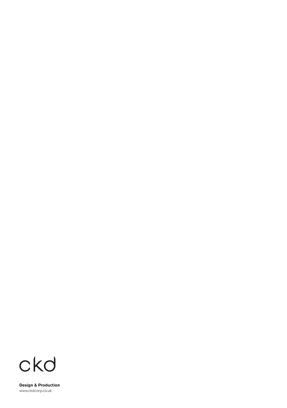

**Design & Production** www.ckdcorp.co.uk